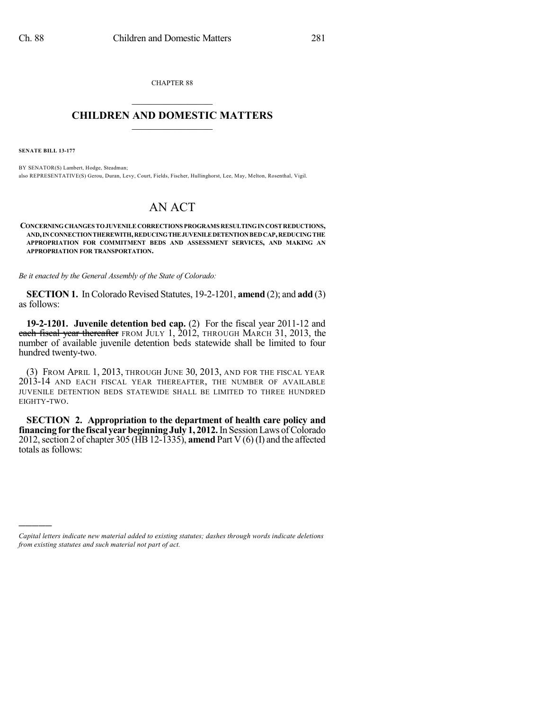CHAPTER 88  $\mathcal{L}_\text{max}$  . The set of the set of the set of the set of the set of the set of the set of the set of the set of the set of the set of the set of the set of the set of the set of the set of the set of the set of the set

### **CHILDREN AND DOMESTIC MATTERS**  $\_$

**SENATE BILL 13-177**

)))))

BY SENATOR(S) Lambert, Hodge, Steadman; also REPRESENTATIVE(S) Gerou, Duran, Levy, Court, Fields, Fischer, Hullinghorst, Lee, May, Melton, Rosenthal, Vigil.

# AN ACT

**CONCERNINGCHANGESTOJUVENILE CORRECTIONS PROGRAMS RESULTINGINCOSTREDUCTIONS, AND,INCONNECTIONTHEREWITH,REDUCINGTHEJUVENILEDETENTIONBEDCAP,REDUCINGTHE APPROPRIATION FOR COMMITMENT BEDS AND ASSESSMENT SERVICES, AND MAKING AN APPROPRIATION FOR TRANSPORTATION.**

*Be it enacted by the General Assembly of the State of Colorado:*

**SECTION 1.** In Colorado Revised Statutes, 19-2-1201, **amend** (2); and **add** (3) as follows:

**19-2-1201. Juvenile detention bed cap.** (2) For the fiscal year 2011-12 and each fiscal year thereafter FROM JULY 1, 2012, THROUGH MARCH 31, 2013, the number of available juvenile detention beds statewide shall be limited to four hundred twenty-two.

(3) FROM APRIL 1, 2013, THROUGH JUNE 30, 2013, AND FOR THE FISCAL YEAR 2013-14 AND EACH FISCAL YEAR THEREAFTER, THE NUMBER OF AVAILABLE JUVENILE DETENTION BEDS STATEWIDE SHALL BE LIMITED TO THREE HUNDRED EIGHTY-TWO.

**SECTION 2. Appropriation to the department of health care policy and financing for the fiscal yearbeginning July 1, 2012.**In SessionLaws ofColorado 2012, section 2 of chapter 305 (HB 12-1335), **amend** Part V  $(6)$  (I) and the affected totals as follows:

*Capital letters indicate new material added to existing statutes; dashes through words indicate deletions from existing statutes and such material not part of act.*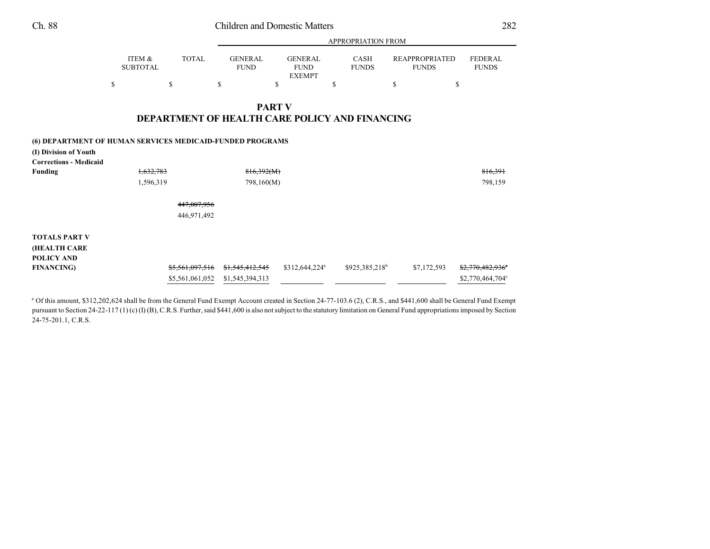|                                                           |                           |              | APPROPRIATION FROM                             |                                                |                             |                                       |                                |  |  |  |
|-----------------------------------------------------------|---------------------------|--------------|------------------------------------------------|------------------------------------------------|-----------------------------|---------------------------------------|--------------------------------|--|--|--|
|                                                           | ITEM &<br><b>SUBTOTAL</b> | <b>TOTAL</b> | <b>GENERAL</b><br><b>FUND</b>                  | <b>GENERAL</b><br><b>FUND</b><br><b>EXEMPT</b> | <b>CASH</b><br><b>FUNDS</b> | <b>REAPPROPRIATED</b><br><b>FUNDS</b> | <b>FEDERAL</b><br><b>FUNDS</b> |  |  |  |
|                                                           | \$                        | \$           | \$                                             | \$                                             | \$                          | \$                                    | \$                             |  |  |  |
|                                                           |                           |              |                                                | <b>PART V</b>                                  |                             |                                       |                                |  |  |  |
|                                                           |                           |              | DEPARTMENT OF HEALTH CARE POLICY AND FINANCING |                                                |                             |                                       |                                |  |  |  |
| (6) DEPARTMENT OF HUMAN SERVICES MEDICAID-FUNDED PROGRAMS |                           |              |                                                |                                                |                             |                                       |                                |  |  |  |
| (I) Division of Youth<br><b>Corrections - Medicaid</b>    |                           |              |                                                |                                                |                             |                                       |                                |  |  |  |
| Funding                                                   | 1,632,783                 |              | 816,392(M)                                     |                                                |                             |                                       | 816,391                        |  |  |  |
|                                                           | 1,596,319                 |              | 798,160(M)                                     |                                                |                             |                                       | 798,159                        |  |  |  |
|                                                           |                           | 447,007,956  |                                                |                                                |                             |                                       |                                |  |  |  |
|                                                           |                           | 446,971,492  |                                                |                                                |                             |                                       |                                |  |  |  |
| <b>TOTALS PART V</b>                                      |                           |              |                                                |                                                |                             |                                       |                                |  |  |  |

**FINANCING**) **\$5,561,097,516 \$1,545,412,545** \$312,644,224<sup>a</sup> \$925,385,218<sup>b</sup> \$7,172,593 \$2,770,482,936<sup>e</sup>

<sup>a</sup> Of this amount, \$312,202,624 shall be from the General Fund Exempt Account created in Section 24-77-103.6 (2), C.R.S., and \$441,600 shall be General Fund Exempt pursuant to Section 24-22-117 (1) (c) (I) (B), C.R.S. Further, said \$441,600 is also not subject to the statutory limitation on General Fund appropriations imposed by Section

\$5,561,061,052 \$1,545,394,313 \$2,770,464,704<sup>c</sup>

Ch. 88 Children and Domestic Matters 282

**(HEALTH CARE POLICY AND**

24-75-201.1, C.R.S.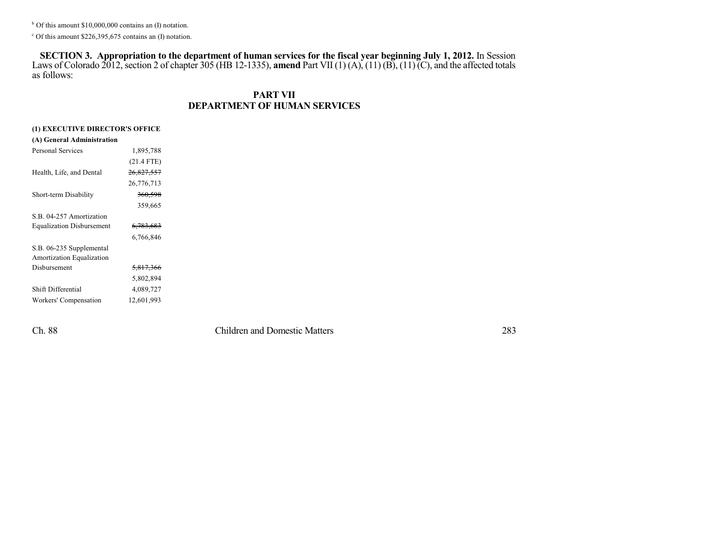$b$  Of this amount \$10,000,000 contains an (I) notation.

 $c$  Of this amount \$226,395,675 contains an (I) notation.

**SECTION 3. Appropriation to the department of human services for the fiscal year beginning July 1, 2012.** In Session Laws of Colorado 2012, section 2 of chapter 305 (HB 12-1335), **amend** Part VII (1) (A), (11) (B), (11) (C), and the affected totals as follows:

### **PART VII DEPARTMENT OF HUMAN SERVICES**

| (1) EXECUTIVE DIRECTOR'S OFFICE  |                      |  |  |  |
|----------------------------------|----------------------|--|--|--|
| (A) General Administration       |                      |  |  |  |
| <b>Personal Services</b>         | 1,895,788            |  |  |  |
|                                  | $(21.4$ FTE)         |  |  |  |
| Health, Life, and Dental         | 26,827,557           |  |  |  |
|                                  | 26,776,713           |  |  |  |
| Short-term Disability            | 360,598              |  |  |  |
|                                  | 359,665              |  |  |  |
| S.B. 04-257 Amortization         |                      |  |  |  |
| <b>Equalization Disbursement</b> | <del>6,783,683</del> |  |  |  |
|                                  | 6,766,846            |  |  |  |
| S.B. 06-235 Supplemental         |                      |  |  |  |
| Amortization Equalization        |                      |  |  |  |
| Disbursement                     | <del>5,817,366</del> |  |  |  |
|                                  | 5,802,894            |  |  |  |
| Shift Differential               | 4,089,727            |  |  |  |
| Workers' Compensation            | 12,601,993           |  |  |  |
|                                  |                      |  |  |  |

Ch. 88 Children and Domestic Matters 283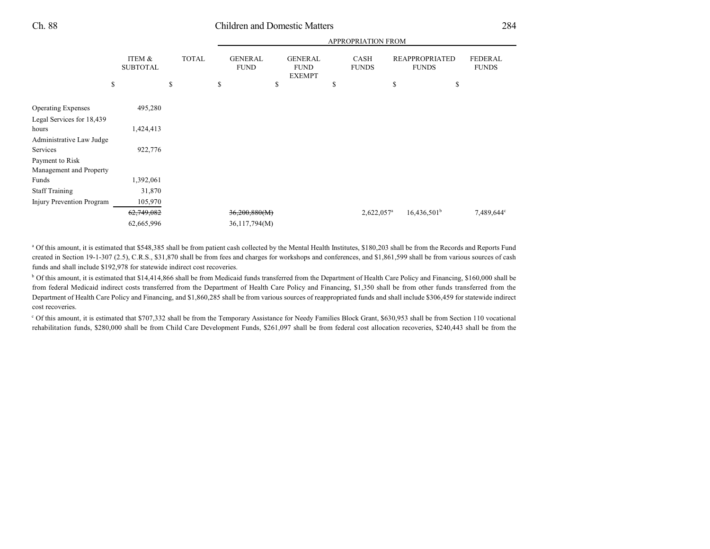### Ch. 88 Children and Domestic Matters 284

APPROPRIATION FROM

|                           |              | APPROPRIATION FROM |                               |    |                                                |    |                             |                         |                                |
|---------------------------|--------------|--------------------|-------------------------------|----|------------------------------------------------|----|-----------------------------|-------------------------|--------------------------------|
| ITEM &<br><b>SUBTOTAL</b> | <b>TOTAL</b> |                    | <b>GENERAL</b><br><b>FUND</b> |    | <b>GENERAL</b><br><b>FUND</b><br><b>EXEMPT</b> |    | <b>CASH</b><br><b>FUNDS</b> | <b>FUNDS</b>            | <b>FEDERAL</b><br><b>FUNDS</b> |
|                           | \$           | \$                 |                               | \$ |                                                | \$ |                             | \$<br>\$                |                                |
| 495,280                   |              |                    |                               |    |                                                |    |                             |                         |                                |
| 1,424,413                 |              |                    |                               |    |                                                |    |                             |                         |                                |
| 922,776                   |              |                    |                               |    |                                                |    |                             |                         |                                |
|                           |              |                    |                               |    |                                                |    |                             |                         |                                |
| 1,392,061                 |              |                    |                               |    |                                                |    |                             |                         |                                |
| 31,870                    |              |                    |                               |    |                                                |    |                             |                         |                                |
| 105,970                   |              |                    |                               |    |                                                |    |                             |                         |                                |
| 62,749,082                |              |                    |                               |    |                                                |    |                             | 16,436,501 <sup>b</sup> | 7,489,644°                     |
| 62,665,996                |              |                    |                               |    |                                                |    |                             |                         |                                |
|                           | \$           |                    |                               |    | 36,200,880(M)<br>36,117,794(M)                 |    |                             | 2,622,057 <sup>a</sup>  | <b>REAPPROPRIATED</b>          |

<sup>a</sup> Of this amount, it is estimated that \$548,385 shall be from patient cash collected by the Mental Health Institutes, \$180,203 shall be from the Records and Reports Fund created in Section 19-1-307 (2.5), C.R.S., \$31,870 shall be from fees and charges for workshops and conferences, and \$1,861,599 shall be from various sources of cash funds and shall include \$192,978 for statewide indirect cost recoveries.

<sup>b</sup> Of this amount, it is estimated that \$14,414,866 shall be from Medicaid funds transferred from the Department of Health Care Policy and Financing, \$160,000 shall be from federal Medicaid indirect costs transferred from the Department of Health Care Policy and Financing, \$1,350 shall be from other funds transferred from the Department of Health Care Policy and Financing, and \$1,860,285 shall be from various sources of reappropriated funds and shall include \$306,459 for statewide indirect cost recoveries.

 Of this amount, it is estimated that \$707,332 shall be from the Temporary Assistance for Needy Families Block Grant, \$630,953 shall be from Section 110 vocational <sup>c</sup> rehabilitation funds, \$280,000 shall be from Child Care Development Funds, \$261,097 shall be from federal cost allocation recoveries, \$240,443 shall be from the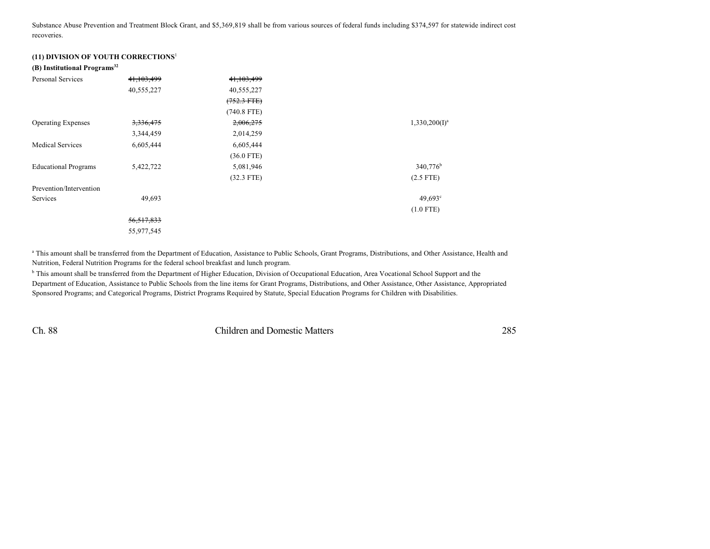Substance Abuse Prevention and Treatment Block Grant, and \$5,369,819 shall be from various sources of federal funds including \$374,597 for statewide indirect cost recoveries.

#### **(11) DIVISION OF YOUTH CORRECTIONS**<sup>1</sup>

#### **(B) Institutional Programs 32**

| <b>Personal Services</b>    | 41,103,499   | 41,103,499            |                      |
|-----------------------------|--------------|-----------------------|----------------------|
|                             | 40,555,227   | 40,555,227            |                      |
|                             |              | $(752.3 \text{ FTE})$ |                      |
|                             |              | $(740.8$ FTE)         |                      |
| <b>Operating Expenses</b>   | 3,336,475    | 2,006,275             | $1,330,200(I)^a$     |
|                             | 3,344,459    | 2,014,259             |                      |
| <b>Medical Services</b>     | 6,605,444    | 6,605,444             |                      |
|                             |              | $(36.0$ FTE)          |                      |
| <b>Educational Programs</b> | 5,422,722    | 5,081,946             | 340,776 <sup>b</sup> |
|                             |              | $(32.3$ FTE)          | $(2.5$ FTE)          |
| Prevention/Intervention     |              |                       |                      |
| Services                    | 49,693       |                       | $49,693$ °           |
|                             |              |                       | $(1.0$ FTE)          |
|                             | 56, 517, 833 |                       |                      |
|                             | 55,977,545   |                       |                      |

<sup>a</sup> This amount shall be transferred from the Department of Education, Assistance to Public Schools, Grant Programs, Distributions, and Other Assistance, Health and Nutrition, Federal Nutrition Programs for the federal school breakfast and lunch program.

<sup>b</sup> This amount shall be transferred from the Department of Higher Education, Division of Occupational Education, Area Vocational School Support and the Department of Education, Assistance to Public Schools from the line items for Grant Programs, Distributions, and Other Assistance, Other Assistance, Appropriated Sponsored Programs; and Categorical Programs, District Programs Required by Statute, Special Education Programs for Children with Disabilities.

Ch. 88 Children and Domestic Matters 285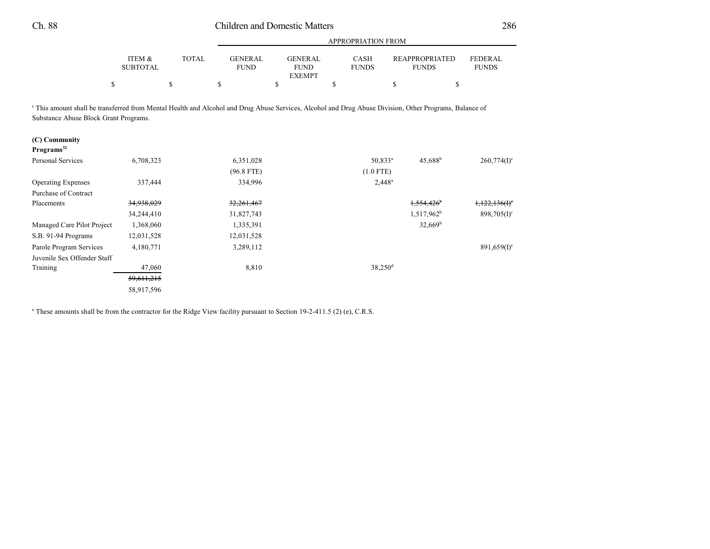## Ch. 88 Children and Domestic Matters 286

|                                                                                                                                                                                                            |                           |              | <b>APPROPRIATION FROM</b>     |                                                |                             |                                       |                                |  |  |
|------------------------------------------------------------------------------------------------------------------------------------------------------------------------------------------------------------|---------------------------|--------------|-------------------------------|------------------------------------------------|-----------------------------|---------------------------------------|--------------------------------|--|--|
|                                                                                                                                                                                                            | ITEM &<br><b>SUBTOTAL</b> | <b>TOTAL</b> | <b>GENERAL</b><br><b>FUND</b> | <b>GENERAL</b><br><b>FUND</b><br><b>EXEMPT</b> | <b>CASH</b><br><b>FUNDS</b> | <b>REAPPROPRIATED</b><br><b>FUNDS</b> | <b>FEDERAL</b><br><b>FUNDS</b> |  |  |
| \$                                                                                                                                                                                                         |                           | \$           | \$                            | \$                                             | \$                          | \$                                    | \$                             |  |  |
| <sup>c</sup> This amount shall be transferred from Mental Health and Alcohol and Drug Abuse Services, Alcohol and Drug Abuse Division, Other Programs, Balance of<br>Substance Abuse Block Grant Programs. |                           |              |                               |                                                |                             |                                       |                                |  |  |
| (C) Community<br>Programs <sup>32</sup>                                                                                                                                                                    |                           |              |                               |                                                |                             |                                       |                                |  |  |
| <b>Personal Services</b>                                                                                                                                                                                   | 6,708,323                 |              | 6,351,028                     |                                                | $50,833^a$                  | $45,688^{\rm b}$                      | $260,774(I)^c$                 |  |  |
|                                                                                                                                                                                                            |                           |              | $(96.8$ FTE)                  |                                                | $(1.0$ FTE)                 |                                       |                                |  |  |
| <b>Operating Expenses</b>                                                                                                                                                                                  | 337,444                   |              | 334,996                       |                                                | $2,448^a$                   |                                       |                                |  |  |
| <b>Purchase of Contract</b>                                                                                                                                                                                |                           |              |                               |                                                |                             |                                       |                                |  |  |
| Placements                                                                                                                                                                                                 | 34,938,029                |              | 32,261,467                    |                                                |                             | 1,554,426                             | 1,122,136(f)                   |  |  |
|                                                                                                                                                                                                            | 34,244,410                |              | 31,827,743                    |                                                |                             | 1,517,962 <sup>b</sup>                | $898,705(I)^c$                 |  |  |
| Managed Care Pilot Project                                                                                                                                                                                 | 1,368,060                 |              | 1,335,391                     |                                                |                             | $32,669^b$                            |                                |  |  |
| S.B. 91-94 Programs                                                                                                                                                                                        | 12,031,528                |              | 12,031,528                    |                                                |                             |                                       |                                |  |  |
| Parole Program Services                                                                                                                                                                                    | 4,180,771                 |              | 3,289,112                     |                                                |                             |                                       | $891,659(1)$ <sup>c</sup>      |  |  |
| Juvenile Sex Offender Staff                                                                                                                                                                                |                           |              |                               |                                                |                             |                                       |                                |  |  |
| Training                                                                                                                                                                                                   | 47,060                    |              | 8,810                         |                                                | $38,250$ <sup>d</sup>       |                                       |                                |  |  |
|                                                                                                                                                                                                            | 59,611,215                |              |                               |                                                |                             |                                       |                                |  |  |
|                                                                                                                                                                                                            | 58,917,596                |              |                               |                                                |                             |                                       |                                |  |  |

<sup>a</sup> These amounts shall be from the contractor for the Ridge View facility pursuant to Section 19-2-411.5 (2) (e), C.R.S.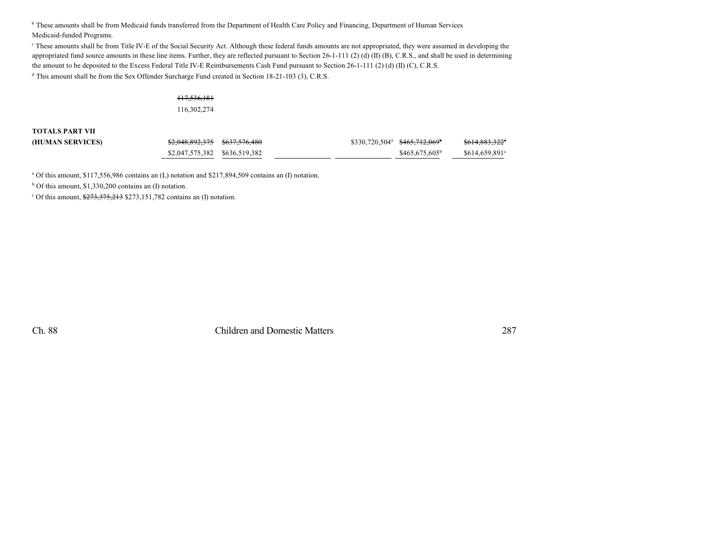<sup>b</sup> These amounts shall be from Medicaid funds transferred from the Department of Health Care Policy and Financing, Department of Human Services Medicaid-funded Programs.

These amounts shall be from Title IV-E of the Social Security Act. Although these federal funds amounts are not appropriated, they were assumed in developing the appropriated fund source amounts in these line items. Further, they are reflected pursuant to Section 26-1-111 (2) (d) (II) (B), C.R.S., and shall be used in determining the amount to be deposited to the Excess Federal Title IV-E Reimbursements Cash Fund pursuant to Section 26-1-111 (2) (d) (II) (C), C.R.S. <sup>d</sup> This amount shall be from the Sex Offender Surcharge Fund created in Section 18-21-103 (3), C.R.S.

# 117,536,181

116,302,274

**TOTALS PART VII**

| (HUMAN SERVICES) | \$2,048,892,375 \$637,576,480 |  | $$330,720,504^a \quad $465,712,069^b$ | <del>\$614,883,322</del> ° |
|------------------|-------------------------------|--|---------------------------------------|----------------------------|
|                  |                               |  | $$465.675.605^b$                      | \$614.659.891°             |

<sup>a</sup> Of this amount, \$117,556,986 contains an (L) notation and \$217,894,509 contains an (I) notation.

 $b$  Of this amount, \$1,330,200 contains an (I) notation.

C Of this amount,  $\frac{$273,375,213}{$273,151,782}$  contains an (I) notation.

Ch. 88 Children and Domestic Matters 287